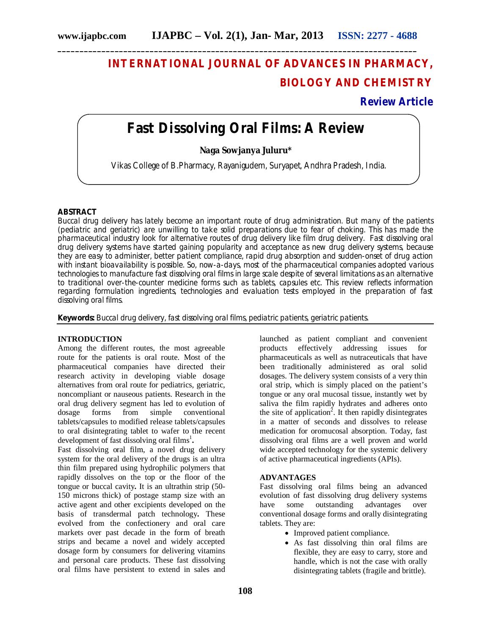# **INTERNATIONAL JOURNAL OF ADVANCES IN PHARMACY, BIOLOGY AND CHEMISTRY**

# **Review Article**

# **Fast Dissolving Oral Films: A Review**

**Naga Sowjanya Juluru\***

Vikas College of B.Pharmacy, Rayanigudem, Suryapet, Andhra Pradesh, India.

# **ABSTRACT**

Buccal drug delivery has lately become an important route of drug administration. But many of the patients (pediatric and geriatric) are unwilling to take solid preparations due to fear of choking. This has made the pharmaceutical industry look for alternative routes of drug delivery like film drug delivery. Fast dissolving oral drug delivery systems have started gaining popularity and acceptance as new drug delivery systems, because they are easy to administer, better patient compliance, rapid drug absorption and sudden-onset of drug action with instant bioavailability is possible. So, now-a-days, most of the pharmaceutical companies adopted various technologies to manufacture fast dissolving oral films in large scale despite of several limitations as an alternative to traditional over-the-counter medicine forms such as tablets, capsules etc. This review reflects information regarding formulation ingredients, technologies and evaluation tests employed in the preparation of fast dissolving oral films.

**Keywords:** Buccal drug delivery, fast dissolving oral films, pediatric patients, geriatric patients.

#### **INTRODUCTION**

Among the different routes, the most agreeable route for the patients is oral route. Most of the pharmaceutical companies have directed their research activity in developing viable dosage alternatives from oral route for pediatrics, geriatric, noncompliant or nauseous patients. Research in the oral drug delivery segment has led to evolution of dosage forms from simple conventional tablets/capsules to modified release tablets/capsules to oral disintegrating tablet to wafer to the recent development of fast dissolving oral films<sup>1</sup>.

Fast dissolving oral film, a novel drug delivery system for the oral delivery of the drugs is an ultra thin film prepared using hydrophilic polymers that rapidly dissolves on the top or the floor of the tongue or buccal cavity**.** It is an ultrathin strip (50- 150 microns thick) of postage stamp size with an active agent and other excipients developed on the basis of transdermal patch technology**.** These evolved from the confectionery and oral care markets over past decade in the form of breath strips and became a novel and widely accepted dosage form by consumers for delivering vitamins and personal care products. These fast dissolving oral films have persistent to extend in sales and launched as patient compliant and convenient<br>products effectively addressing issues for effectively addressing issues for pharmaceuticals as well as nutraceuticals that have been traditionally administered as oral solid dosages. The delivery system consists of a very thin oral strip, which is simply placed on the patient's tongue or any oral mucosal tissue, instantly wet by saliva the film rapidly hydrates and adheres onto the site of application<sup>2</sup>. It then rapidly disintegrates in a matter of seconds and dissolves to release medication for oromucosal absorption. Today, fast dissolving oral films are a well proven and world wide accepted technology for the systemic delivery of active pharmaceutical ingredients (APIs).

## **ADVANTAGES**

Fast dissolving oral films being an advanced evolution of fast dissolving drug delivery systems have some outstanding advantages over conventional dosage forms and orally disintegrating tablets. They are:

- Improved patient compliance.
- As fast dissolving thin oral films are flexible, they are easy to carry, store and handle, which is not the case with orally disintegrating tablets (fragile and brittle).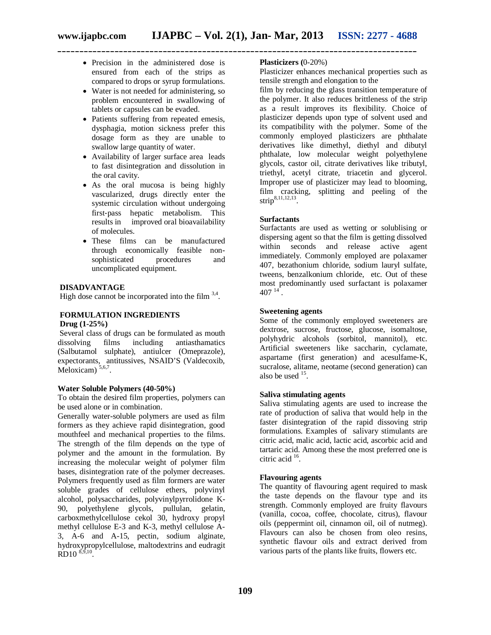**\_\_\_\_\_\_\_\_\_\_\_\_\_\_\_\_\_\_\_\_\_\_\_\_\_\_\_\_\_\_\_\_\_\_\_\_\_\_\_\_\_\_\_\_\_\_\_\_\_\_\_\_\_\_\_\_\_\_\_\_\_\_\_\_\_\_\_\_\_\_\_\_\_\_\_\_\_\_\_\_\_\_**

- Precision in the administered dose is ensured from each of the strips as compared to drops or syrup formulations.
- Water is not needed for administering, so problem encountered in swallowing of tablets or capsules can be evaded.
- Patients suffering from repeated emesis, dysphagia, motion sickness prefer this dosage form as they are unable to swallow large quantity of water.
- Availability of larger surface area leads to fast disintegration and dissolution in the oral cavity.
- As the oral mucosa is being highly vascularized, drugs directly enter the systemic circulation without undergoing first-pass hepatic metabolism. This results in improved oral bioavailability of molecules.
- These films can be manufactured through economically feasible nonsophisticated procedures and uncomplicated equipment.

# **DISADVANTAGE**

High dose cannot be incorporated into the film  $3,4$ .

#### **FORMULATION INGREDIENTS Drug (1-25%)**

Several class of drugs can be formulated as mouth dissolving films including antiasthamatics (Salbutamol sulphate), antiulcer (Omeprazole), expectorants, antitussives, NSAID'S (Valdecoxib, Meloxicam)<sup>5,6,7</sup>.

# **Water Soluble Polymers (40-50%)**

To obtain the desired film properties, polymers can be used alone or in combination.

Generally water-soluble polymers are used as film formers as they achieve rapid disintegration, good mouthfeel and mechanical properties to the films. The strength of the film depends on the type of polymer and the amount in the formulation. By increasing the molecular weight of polymer film bases, disintegration rate of the polymer decreases. Polymers frequently used as film formers are water soluble grades of cellulose ethers, polyvinyl alcohol, polysaccharides, polyvinylpyrrolidone K-90, polyethylene glycols, pullulan, gelatin, carboxmethylcellulose cekol 30, hydroxy propyl methyl cellulose E-3 and K-3, methyl cellulose A-3, A-6 and A-15, pectin, sodium alginate, hydroxypropylcellulose, maltodextrins and eudragit  $RD10^{8,9,10}$ .

# **Plasticizers (**0-20%)

Plasticizer enhances mechanical properties such as tensile strength and elongation to the

film by reducing the glass transition temperature of the polymer. It also reduces brittleness of the strip as a result improves its flexibility. Choice of plasticizer depends upon type of solvent used and its compatibility with the polymer. Some of the commonly employed plasticizers are phthalate derivatives like dimethyl, diethyl and dibutyl phthalate, low molecular weight polyethylene glycols, castor oil, citrate derivatives like tributyl, triethyl, acetyl citrate, triacetin and glycerol. Improper use of plasticizer may lead to blooming, film cracking, splitting and peeling of the strip<sup>8,11,12,13</sup>.

#### **Surfactants**

Surfactants are used as wetting or solublising or dispersing agent so that the film is getting dissolved within seconds and release active agent immediately. Commonly employed are polaxamer 407, bezathonium chloride, sodium lauryl sulfate, tweens, benzalkonium chloride, etc. Out of these most predominantly used surfactant is polaxamer  $407^{14}$ .

#### **Sweetening agents**

Some of the commonly employed sweeteners are dextrose, sucrose, fructose, glucose, isomaltose, polyhydric alcohols (sorbitol, mannitol), etc. Artificial sweeteners like saccharin, cyclamate, aspartame (first generation) and acesulfame‐K, sucralose, alitame, neotame (second generation) can also be used  $15$ .

#### **Saliva stimulating agents**

Saliva stimulating agents are used to increase the rate of production of saliva that would help in the faster disintegration of the rapid dissoving strip formulations. Examples of salivary stimulants are citric acid, malic acid, lactic acid, ascorbic acid and tartaric acid. Among these the most preferred one is citric acid <sup>16</sup>.

# **Flavouring agents**

The quantity of flavouring agent required to mask the taste depends on the flavour type and its strength. Commonly employed are fruity flavours (vanilla, cocoa, coffee, chocolate, citrus), flavour oils (peppermint oil, cinnamon oil, oil of nutmeg). Flavours can also be chosen from oleo resins, synthetic flavour oils and extract derived from various parts of the plants like fruits, flowers etc.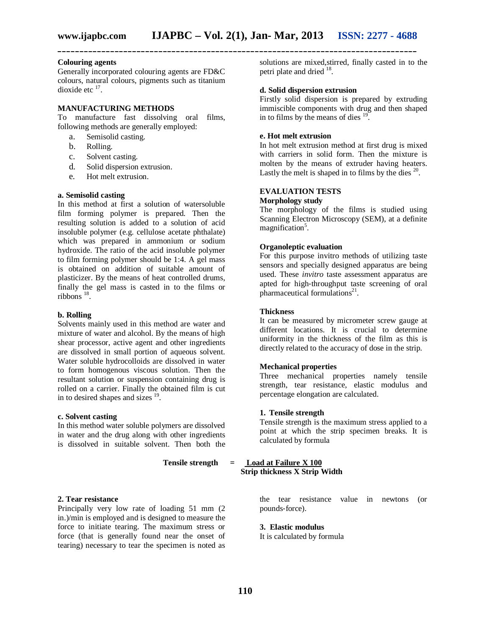#### **Colouring agents**

Generally incorporated colouring agents are FD&C colours, natural colours, pigments such as titanium dioxide etc  $17$ .

# **MANUFACTURING METHODS**

To manufacture fast dissolving oral films, following methods are generally employed:

- a. Semisolid casting.
- b. Rolling.
- c. Solvent casting.
- d. Solid dispersion extrusion.
- e. Hot melt extrusion.

#### **a. Semisolid casting**

In this method at first a solution of watersoluble film forming polymer is prepared. Then the resulting solution is added to a solution of acid insoluble polymer (e.g. cellulose acetate phthalate) which was prepared in ammonium or sodium hydroxide. The ratio of the acid insoluble polymer to film forming polymer should be 1:4. A gel mass is obtained on addition of suitable amount of plasticizer. By the means of heat controlled drums, finally the gel mass is casted in to the films or  $ribbons$ <sup>18</sup>.

#### **b. Rolling**

Solvents mainly used in this method are water and mixture of water and alcohol. By the means of high shear processor, active agent and other ingredients are dissolved in small portion of aqueous solvent. Water soluble hydrocolloids are dissolved in water to form homogenous viscous solution. Then the resultant solution or suspension containing drug is rolled on a carrier. Finally the obtained film is cut in to desired shapes and sizes <sup>19</sup>.

#### **c. Solvent casting**

In this method water soluble polymers are dissolved in water and the drug along with other ingredients is dissolved in suitable solvent. Then both the

# **2. Tear resistance**

Principally very low rate of loading 51 mm (2 in.)/min is employed and is designed to measure the force to initiate tearing. The maximum stress or force (that is generally found near the onset of tearing) necessary to tear the specimen is noted as solutions are mixed,stirred, finally casted in to the petri plate and dried <sup>18</sup>.

## **d. Solid dispersion extrusion**

Firstly solid dispersion is prepared by extruding immiscible components with drug and then shaped in to films by the means of dies  $19$ .

#### **e. Hot melt extrusion**

In hot melt extrusion method at first drug is mixed with carriers in solid form. Then the mixture is molten by the means of extruder having heaters. Lastly the melt is shaped in to films by the dies  $20$ .

#### **EVALUATION TESTS Morphology study**

The morphology of the films is studied using Scanning Electron Microscopy (SEM), at a definite magnification<sup>5</sup>.

#### **Organoleptic evaluation**

For this purpose invitro methods of utilizing taste sensors and specially designed apparatus are being used. These *invitro* taste assessment apparatus are apted for high‐throughput taste screening of oral pharmaceutical formulations<sup>21</sup>.

#### **Thickness**

It can be measured by micrometer screw gauge at different locations. It is crucial to determine uniformity in the thickness of the film as this is directly related to the accuracy of dose in the strip.

### **Mechanical properties**

Three mechanical properties namely tensile strength, tear resistance, elastic modulus and percentage elongation are calculated.

#### **1. Tensile strength**

Tensile strength is the maximum stress applied to a point at which the strip specimen breaks. It is calculated by formula

# **Tensile strength = Load at Failure X 100**

 **Strip thickness X Strip Width**

the tear resistance value in newtons (or pounds‐force).

#### **3. Elastic modulus**

It is calculated by formula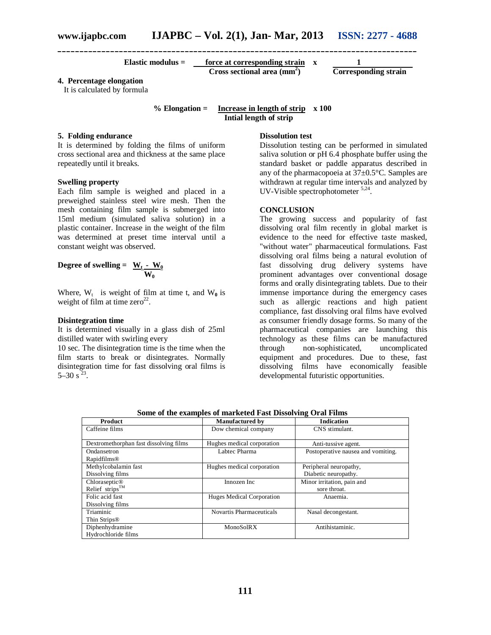| Elastic modulus $=$ | force at corresponding strain |                             |
|---------------------|-------------------------------|-----------------------------|
|                     | Cross sectional area $(mm2)$  | <b>Corresponding strain</b> |

# **4. Percentage elongation**

It is calculated by formula

**% Elongation = Increase in length of strip x 100 Intial length of strip**

**\_\_\_\_\_\_\_\_\_\_\_\_\_\_\_\_\_\_\_\_\_\_\_\_\_\_\_\_\_\_\_\_\_\_\_\_\_\_\_\_\_\_\_\_\_\_\_\_\_\_\_\_\_\_\_\_\_\_\_\_\_\_\_\_\_\_\_\_\_\_\_\_\_\_\_\_\_\_\_\_\_\_**

# **5. Folding endurance**

It is determined by folding the films of uniform cross sectional area and thickness at the same place repeatedly until it breaks.

# **Swelling property**

Each film sample is weighed and placed in a preweighed stainless steel wire mesh. Then the mesh containing film sample is submerged into 15ml medium (simulated saliva solution) in a plastic container. Increase in the weight of the film was determined at preset time interval until a constant weight was observed.

Degree ofswelling = 
$$
\frac{W_t - W_0}{W_0}
$$

Where,  $W_t$  is weight of film at time t, and  $W_0$  is weight of film at time  $zero^{22}$ .

#### **Disintegration time**

It is determined visually in a glass dish of 25ml distilled water with swirling every

10 sec. The disintegration time is the time when the film starts to break or disintegrates. Normally disintegration time for fast dissolving oral films is  $5-30 s^{23}$ .

#### **Dissolution test**

Dissolution testing can be performed in simulated saliva solution or pH 6.4 phosphate buffer using the standard basket or paddle apparatus described in any of the pharmacopoeia at 37±0.5°C. Samples are withdrawn at regular time intervals and analyzed by UV-Visible spectrophotometer <sup>5,24</sup>.

#### **CONCLUSION**

The growing success and popularity of fast dissolving oral film recently in global market is evidence to the need for effective taste masked, "without water" pharmaceutical formulations. Fast dissolving oral films being a natural evolution of fast dissolving drug delivery systems have prominent advantages over conventional dosage forms and orally disintegrating tablets. Due to their immense importance during the emergency cases such as allergic reactions and high patient compliance, fast dissolving oral films have evolved as consumer friendly dosage forms. So many of the pharmaceutical companies are launching this technology as these films can be manufactured through non-sophisticated, uncomplicated equipment and procedures. Due to these, fast dissolving films have economically feasible developmental futuristic opportunities.

| <b>Product</b>                         | <b>Manufactured by</b>     | <b>Indication</b>                  |
|----------------------------------------|----------------------------|------------------------------------|
| Caffeine films                         | Dow chemical company       | CNS stimulant.                     |
|                                        |                            |                                    |
| Dextromethorphan fast dissolving films | Hughes medical corporation | Anti-tussive agent.                |
| Ondansetron                            | Labtec Pharma              | Postoperative nausea and vomiting. |
| Rapidfilms <sup>®</sup>                |                            |                                    |
| Methylcobalamin fast                   | Hughes medical corporation | Peripheral neuropathy,             |
| Dissolving films                       |                            | Diabetic neuropathy.               |
| Chloraseptic <sup>®</sup>              | Innozen Inc                | Minor irritation, pain and         |
| Relief strips™                         |                            | sore throat.                       |
| Folic acid fast                        | Huges Medical Corporation  | Anaemia.                           |
| Dissolving films                       |                            |                                    |
| Triaminic                              | Novartis Pharmaceuticals   | Nasal decongestant.                |
| Thin Strips <sup>®</sup>               |                            |                                    |
| Diphenhydramine                        | MonoSolRX                  | Antihistaminic.                    |
| Hydrochloride films                    |                            |                                    |

**Some of the examples of marketed Fast Dissolving Oral Films**